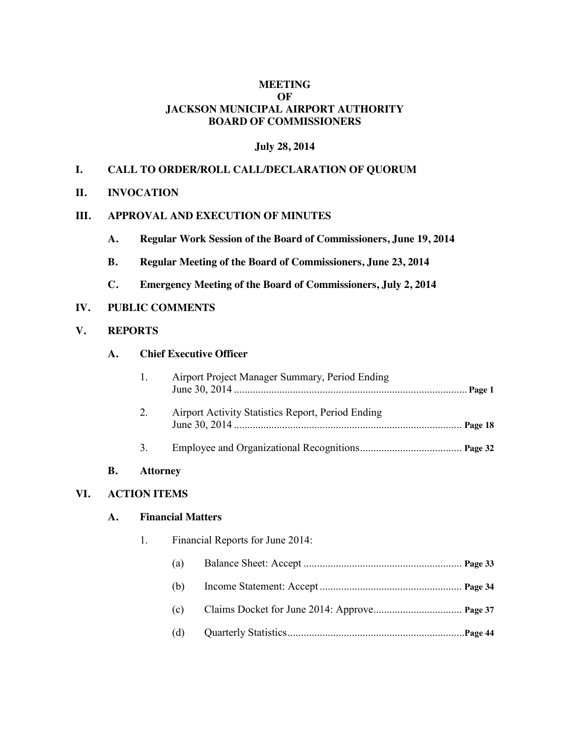# **MEETING OF JACKSON MUNICIPAL AIRPORT AUTHORITY BOARD OF COMMISSIONERS**

### **July 28, 2014**

# **I. CALL TO ORDER/ROLL CALL/DECLARATION OF QUORUM**

#### **II. INVOCATION**

#### **III. APPROVAL AND EXECUTION OF MINUTES**

- **A. Regular Work Session of the Board of Commissioners, June 19, 2014**
- **B. Regular Meeting of the Board of Commissioners, June 23, 2014**
- **C. Emergency Meeting of the Board of Commissioners, July 2, 2014**

### **IV. PUBLIC COMMENTS**

#### **V. REPORTS**

### **A. Chief Executive Officer**

|    | Airport Project Manager Summary, Period Ending    |  |
|----|---------------------------------------------------|--|
| 2. | Airport Activity Statistics Report, Period Ending |  |
|    |                                                   |  |

#### **B. Attorney**

#### **VI. ACTION ITEMS**

### **A. Financial Matters**

- 1. Financial Reports for June 2014:
	- (a) Balance Sheet: Accept ........................................................... **Page 33**
	- (b) Income Statement: Accept ..................................................... **Page 34**
	- (c) Claims Docket for June 2014: Approve................................. **Page 37**
	- (d) Quarterly Statistics..................................................................**Page 44**